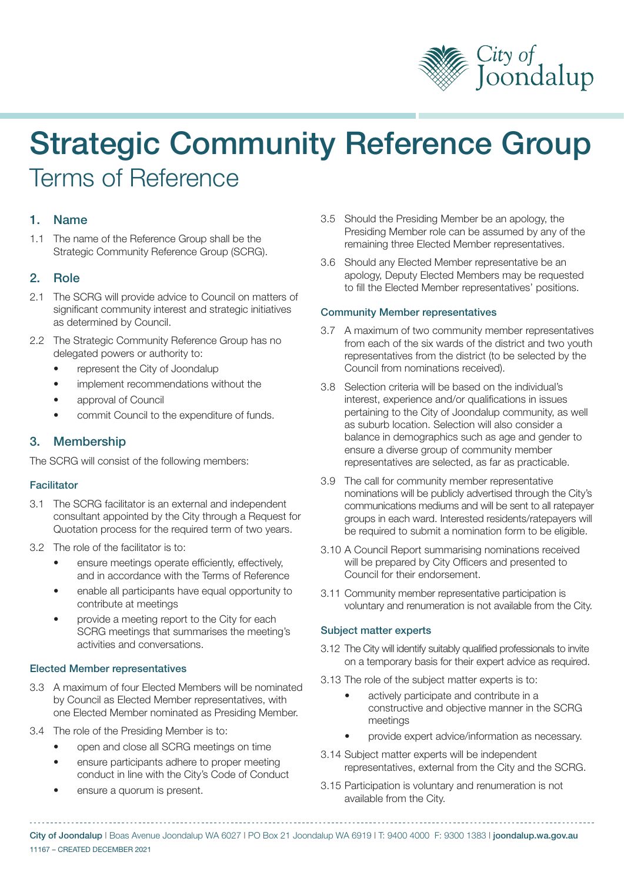

# Strategic Community Reference Group Terms of Reference

## 1. Name

1.1 The name of the Reference Group shall be the Strategic Community Reference Group (SCRG).

### 2. Role

- 2.1 The SCRG will provide advice to Council on matters of significant community interest and strategic initiatives as determined by Council.
- 2.2 The Strategic Community Reference Group has no delegated powers or authority to:
	- represent the City of Joondalup
	- implement recommendations without the
	- approval of Council
	- commit Council to the expenditure of funds.

## 3. Membership

The SCRG will consist of the following members:

#### **Facilitator**

- 3.1 The SCRG facilitator is an external and independent consultant appointed by the City through a Request for Quotation process for the required term of two years.
- 3.2 The role of the facilitator is to:
	- ensure meetings operate efficiently, effectively, and in accordance with the Terms of Reference
	- enable all participants have equal opportunity to contribute at meetings
	- provide a meeting report to the City for each SCRG meetings that summarises the meeting's activities and conversations.

#### Elected Member representatives

- 3.3 A maximum of four Elected Members will be nominated by Council as Elected Member representatives, with one Elected Member nominated as Presiding Member.
- 3.4 The role of the Presiding Member is to:
	- open and close all SCRG meetings on time
	- ensure participants adhere to proper meeting conduct in line with the City's Code of Conduct
	- ensure a quorum is present.
- 3.5 Should the Presiding Member be an apology, the Presiding Member role can be assumed by any of the remaining three Elected Member representatives.
- 3.6 Should any Elected Member representative be an apology, Deputy Elected Members may be requested to fill the Elected Member representatives' positions.

#### Community Member representatives

- 3.7 A maximum of two community member representatives from each of the six wards of the district and two youth representatives from the district (to be selected by the Council from nominations received).
- 3.8 Selection criteria will be based on the individual's interest, experience and/or qualifications in issues pertaining to the City of Joondalup community, as well as suburb location. Selection will also consider a balance in demographics such as age and gender to ensure a diverse group of community member representatives are selected, as far as practicable.
- 3.9 The call for community member representative nominations will be publicly advertised through the City's communications mediums and will be sent to all ratepayer groups in each ward. Interested residents/ratepayers will be required to submit a nomination form to be eligible.
- 3.10 A Council Report summarising nominations received will be prepared by City Officers and presented to Council for their endorsement.
- 3.11 Community member representative participation is voluntary and renumeration is not available from the City.

#### Subject matter experts

- 3.12 The City will identify suitably qualified professionals to invite on a temporary basis for their expert advice as required.
- 3.13 The role of the subject matter experts is to:
	- actively participate and contribute in a constructive and objective manner in the SCRG meetings
	- provide expert advice/information as necessary.
- 3.14 Subject matter experts will be independent representatives, external from the City and the SCRG.
- 3.15 Participation is voluntary and renumeration is not available from the City.

City of Joondalup | Boas Avenue Joondalup WA 6027 | PO Box 21 Joondalup WA 6919 | T: 9400 4000 F: 9300 1383 | joondalup.wa.gov.au